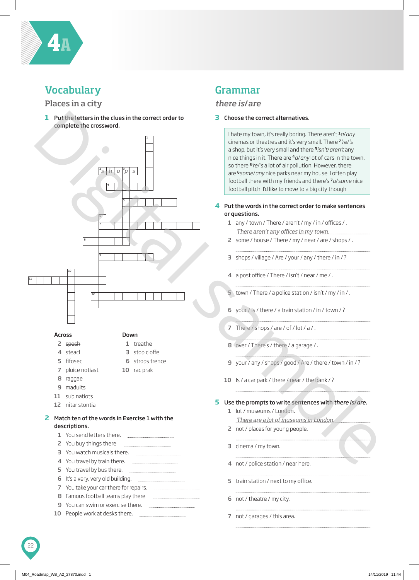

## **Vocabulary**

#### Places in a city

 Put the letters in the clues in the correct order to complete the crossword.



- steacl fifosec
- stop cioffe

 strops trence rac prak

- 
- ploice notiast
- raggae
- maduits
- sub natiots
- nitar stontia
- Match ten of the words in Exercise 1 with the descriptions.

|    | 1 You send letters there.                |
|----|------------------------------------------|
|    | 2 You buy things there.                  |
|    | 3 You watch musicals there.              |
|    | 4 You travel by train there.             |
|    | 5 You travel by bus there.               |
|    | 6 It's a very, very old building.        |
|    | 7 You take your car there for repairs.   |
|    | 8 Famous football teams play there.      |
|    | <b>9</b> You can swim or exercise there. |
| 10 | People work at desks there.              |
|    |                                          |

## Grammar

#### *there is*/*are*

#### Choose the correct alternatives.

I hate my town, it's really boring. There aren't <sup>1</sup>*a*/*any* cinemas or theatres and it's very small. There <sup>2</sup>*'re*/*'s* a shop, but it's very small and there <sup>3</sup>*isn't*/*aren't* any nice things in it. There are <sup>4</sup>*a*/*any* lot of cars in the town, so there <sup>5</sup>*'re*/*'s* a lot of air pollution. However, there are <sup>6</sup>*some*/*any* nice parks near my house. I often play football there with my friends and there's <sup>7</sup>*a*/*some* nice football pitch. I'd like to move to a big city though.

#### Put the words in the correct order to make sentences or questions.

- any / town / There / aren't / my / in / offices / . *There aren't any offices in my town.*
- some / house / There / my / near / are / shops / .
- shops / village / Are / your / any / there / in / ?
- a post office / There / isn't / near / me / .
- town / There / a police station / isn't / my / in / .
- 6 your /  $\sqrt{5}$  / there / a train station / in / town / ?
- 7 There / shops / are / of / lot / a / .
- over / There's / there / a garage / .
- your / any / shops / good / Are / there / town / in / ?
- 10 Is / a car park / there / near / the bank / ?

#### Use the prompts to write sentences with *there is*/*are*.

- 1 lot / museums / London. *There are a lot of museums in London.*
- 2 not / places for young people.
- cinema / my town.
- not / police station / near here.
- train station / next to my office.
	-

- not / theatre / my city.
- not / garages / this area.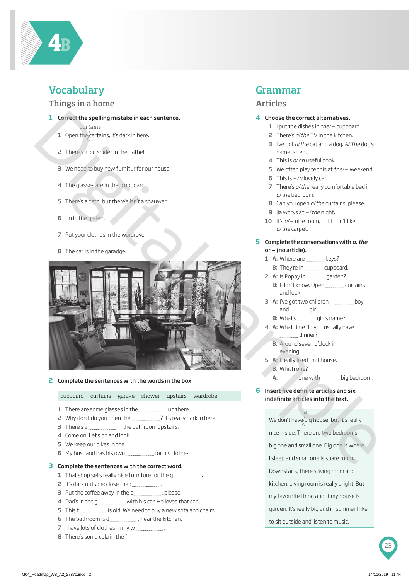

## **Vocabulary**

#### Things in a home

- **1** Correct the spelling mistake in each sentence.
	- *curtains*
	- 1 Open the  $c$ ertains, it's dark in here.
	- 2 There's a big spider in the bathe!
	- 3 We need to buy new furnitur for our house.
	- 4 The glasses are in that cubboard.
	- 5 There's a bath, but there's isn't a shauwer.
	- 6 I'm in the gaden.
	- 7 Put your clothes in the wardrove.
	- 8 The car is in the garadge.



#### **2** Complete the sentences with the words in the box.

cupboard curtains garage shower upstairs wardrobe

- 1 There are some glasses in the **comediate and there**.
- 2 Why don't do you open the \_\_\_\_\_\_\_\_\_\_\_\_\_? It's really dark in here.
- 3 There's a **in the bathroom** upstairs.
- 4 Come on! Let's go and look .
- 5 We keep our bikes in the .
- 6 My husband has his own for his clothes.

#### **3** Complete the sentences with the correct word.

- 1 That shop sells really nice furniture for the q
- 2 It's dark outside; close the c
- 3 Put the coffee away in the c\_\_\_\_\_\_\_\_\_\_\_\_\_\_\_, please.
- 4 Dad's in the g with his car. He loves that car.
- 5 This f is old. We need to buy a new sofa and chairs.
- 6 The bathroom is d  $\blacksquare$ , near the kitchen.
- 7 I have lots of clothes in my w .
- 

### Grammar

#### Articles

#### **4** Choose the correct alternatives.

- <sup>1</sup> I put the dishes in *the*/– cupboard.
- 2 There's *a*/*the* TV in the kitchen.
- 3 I've got *a*/*the* cat and a dog. *A*/*The* dog's name is Leo.
- 4 This is *a*/*an* useful book.
- <sup>5</sup> We often play tennis at *the*/– weekend.
- <sup>6</sup> This is –/*<sup>a</sup>* lovely car.
- 7 There's *a*/*the* really comfortable bed in *a*/*the* bedroom.
- 8 Can you open *a*/*the* curtains, please?
- <sup>9</sup> Jia works at –/*the* night.
- <sup>10</sup> It's *<sup>a</sup>*/– nice room, but I don't like *a*/*the* carpet.

#### **5** Complete the conversations with *a*, *the* or – (no article).

- 1 A: Where are **Fig.** keys?
- B: They're in cupboard.
- 2 A: Is Poppy in \_\_\_\_\_\_\_\_\_\_\_\_ garden?
	- B: I don't know. Open curtains and look.
- $3$  A: I've got two children  $-$  boy and girl.
	- B: What's girl's name?
- 4 A: What time do you usually have dinner?
	- B: Around seven o'clock in evening.
- 5 A: I really liked that house. B: Which one?
	- A: one with big bedroom.
- **6** Insert five definite articles and six indefinite articles into the text.

*a*

We don't have/big house, but it's really

nice inside. There are two bedrooms:

big one and small one. Big one is where

I sleep and small one is spare room.

Downstairs, there's living room and

kitchen. Living room is really bright. But

my favourite thing about my house is

garden. It's really big and in summer I like

to sit outside and listen to music.

8 There's some cola in the f .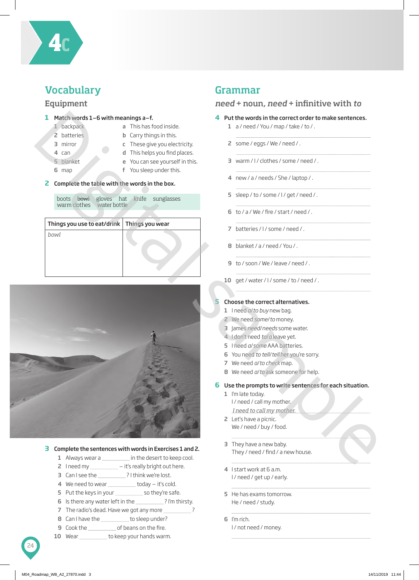

## **Vocabulary**

#### Equipment

#### **1** Match words 1–6 with meanings a–f.

- 1 backpack
- a This has food inside.
- 2 batteries 3 mirror
- **b** Carry things in this.
- 
- 4 can 5 blanket
- c These give you electricity.
- 
- d This helps you find places.
- 
- 6 map
- e You can see yourself in this.
- f You sleep under this.

#### **2** Complete the table with the words in the box.

|  | warm clothes water bottle |  | boots bowl gloves hat knife sunglasses |  |
|--|---------------------------|--|----------------------------------------|--|
|  |                           |  |                                        |  |

| Things you use to eat/drink   Things you wear |  |
|-----------------------------------------------|--|
| bowl                                          |  |



#### **3** Complete the sentences with words in Exercises 1 and 2.

- 1 Always wear a in the desert to keep cool.
- 2 I need my \_\_\_\_\_\_\_\_\_\_\_\_\_\_\_\_\_ it's really bright out here.
- 3 Can I see the ? I think we're lost.
- 4 We need to wear **the manual manual versus** today it's cold.
- 5 Put the keys in your **solut** so they're safe.
- 6 Is there any water left in the .................................? I'm thirsty.
- 7 The radio's dead. Have we got any more ?
- 8 Can I have the **the to sleep under?**
- **9** Cook the **contact Cook** the of beans on the fire.
- 10 Wear **the Common Wear** to keep your hands warm.

## Grammar

#### *need* + noun, *need* + infinitive with *to*

#### **4** Put the words in the correct order to make sentences.

- 1 a / need / You / map / take / to / .
- 2 some / eggs / We / need / .
- 3 warm / I / clothes / some / need / .
- 
- 4 new / a / needs / She / laptop / .
- 5 sleep / to / some / I / get / need / .
- 6 to / a / We / fire / start / need / .
- 7 batteries / I / some / need / .
- 8 blanket / a / need / You /.
- 9 to / soon / We / leave / need / .
- 10 get / water / I / some / to / need / .

#### **5** Choose the correct alternatives.

- 1 I need *a*/*to buy* new bag.
- 2 We need *some*/*to* money.
- 3 James *need*/*needs* some water.
- 4 I don't need *to*/*a* leave yet.
- 5 I need *a*/*some* AAA batteries.
- 6 You need *to tell*/*tell* her you're sorry.
- 7 We need *a*/*to check* map.
- 8 We need *a*/*to* ask someone for help.

**6** Use the prompts to write sentences for each situation.

- 1 I'm late today. I / need / call my mother. *I need to call my mother.*
- 2 Let's have a picnic. We / need / buy / food.
- 3 They have a new baby. They / need / find / a new house.
- 4 I start work at 6 a.m. I / need / get up / early.
- 5 He has exams tomorrow. He / need / study.
- 6 I'm rich.
	- I / not need / money.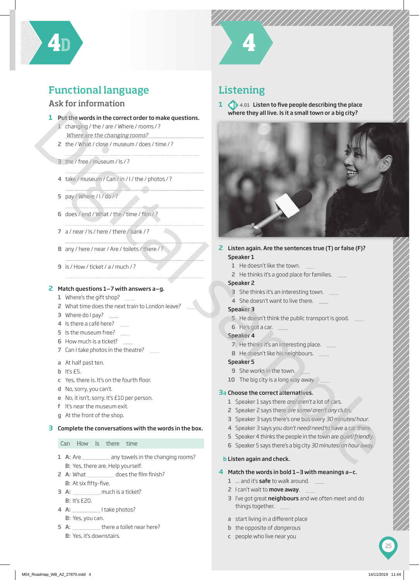

## Functional language

#### Ask for information

#### **1** Put the words in the correct order to make questions.

- 1 changing / the / are / Where / rooms / ? *Where are the changing rooms?*
- 2 the / What / close / museum / does / time / ?
- 3 the / free / museum / Is / ?
- 4 take / museum / Can / in / I / the / photos / ?
- 5 pay / Where / I / do / ?
- 6  $does / end / What / the / time / film / ?$
- 7 a / near / Is / here / there / bank / ?
- 8 any / here / near / Are / toilets / there / ?
- 9 is / How / ticket / a / much / ?

#### **2** Match questions 1–7 with answers a–g.

- 1 Where's the gift shop? \_\_\_\_\_
- 2 What time does the next train to London leave?
- 3 Where do I pay? **Fig.**
- 4 Is there a café here? \_\_\_\_\_\_\_
- 5 Is the museum free? \_\_\_\_\_\_
- 6 How much is a ticket? \_\_\_\_\_\_
- 7 Can I take photos in the theatre?
- a At half past ten.
- $b$  It's  $E5$ .
- c Yes, there is. It's on the fourth floor.
- d No, sorry, you can't.
- e No, it isn't, sorry. It's £10 per person.
- f It's near the museum exit.
- g At the front of the shop.

#### **3** Complete the conversations with the words in the box.

#### Can How Is there time

- 1 A: Are **constant 2** any towels in the changing rooms? B: Yes, there are. Help yourself.
- 2 A: What does the fi lm fi nish? B: At six fifty-five.
- 3 A: much is a ticket? B: It's £20.
- 4 A: Itake photos? B: Yes, you can.
- 5 A:  $\frac{1}{100}$  there a toilet near here? B: Yes, it's downstairs.

## Listening

**1 1 4.01** Listen to five people describing the place where they all live. Is it a small town or a big city?



- **2** Listen again. Are the sentences true (T) or false (F)? Speaker 1
	- 1 He doesn't like the town.
	- 2 He thinks it's a good place for families.

#### Speaker 2

- 3 She thinks it's an interesting town.
- 4 She doesn't want to live there.

#### Speaker 3

- 5 He doesn't think the public transport is good.
- 6 He's got a car.
- Speaker 4
	- 7 He thinks it's an interesting place.
	- 8 He doesn't like his neighbours.
- Speaker 5
- 9 She works in the town.
- 10 The big city is a long way away.

#### **3 a** Choose the correct alternatives.

- 1 Speaker 1 says there *are*/*aren't* a lot of cars.
- 2 Speaker 2 says there *are some*/*aren't any* clubs.
- 3 Speaker 3 says there's one bus every *30 minutes*/*hour*.
- 4 Speaker 3 says you *don't need*/*need* to have a car there.
- 5 Speaker 4 thinks the people in the town are *quiet*/*friendly*.
- 6 Speaker 5 says there's a big city *30 minutes*/*an hour* away.

#### **b** Listen again and check.

#### **4** Match the words in bold 1–3 with meanings a–c.

- 1 ... and it's **safe** to walk around.
- 2 I can't wait to **move away**.
- 3 I've got great neighbours and we often meet and do things together.
- a start living in a different place
- b the opposite of *dangerous*
- c people who live near you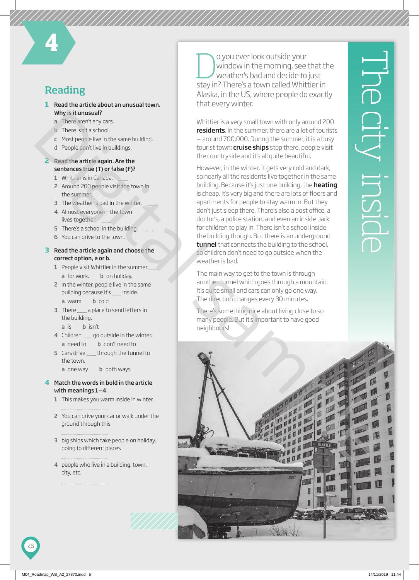## Reading

- **1** Read the article about an unusual town. Why is it unusual?
	- a There aren't any cars.
	- **b** There isn't a school.
	- c Most people live in the same building.
	- d People don't live in buildings.
- **2** Read the article again. Are the sentences true (T) or false (F)?
	- 1 Whittier is in Canada.
	- 2 Around 200 people visit the town in the summer.
	- 3 The weather is bad in the winter.
	- 4 Almost everyone in the town lives together.
	- 5 There's a school in the building.
	- 6 You can drive to the town.

#### **3** Read the article again and choose the correct option, a or b.

- 1 People visit Whittier in the summer a for work. **b** on holiday.
- 2 In the winter, people live in the same building because it's **inside**. a warm b cold
- 3 There a place to send letters in the building.
	- a is b isn't
- 4 Children subsetion control of the winter. a need to b don't need to
- 5 Cars drive **through the tunnel to** the town.
	- $a$  one way b both ways

#### **4** Match the words in bold in the article with meanings 1–4.

- 1 This makes you warm inside in winter.
- 2 You can drive your car or walk under the ground through this.
- 3 big ships which take people on holiday, going to different places
- 4 people who live in a building, town, city, etc.

O you ever look outside your<br>window in the morning, see<br>weather's bad and decide to window in the morning, see that the weather's bad and decide to just stay in? There's a town called Whittier in Alaska, in the US, where people do exactly that every winter.

Whittier is a very small town with only around 200 residents. In the summer, there are a lot of tourists – around 700,000. During the summer, it is a busy tourist town: **cruise ships** stop there, people visit the countryside and it's all quite beautiful.

However, in the winter, it gets very cold and dark, so nearly all the residents live together in the same building. Because it's just one building, the **heating** is cheap. It's very big and there are lots of floors and apartments for people to stay warm in. But they don't just sleep there. There's also a post office, a doctor's, a police station, and even an inside park for children to play in. There isn't a school inside the building though. But there is an underground tunnel that connects the building to the school, so children don't need to go outside when the weather is bad.

The main way to get to the town is through another tunnel which goes through a mountain. It's quite small and cars can only go one way. The direction changes every 30 minutes.

There's something nice about living close to so many people. But it's important to have good neighbours!